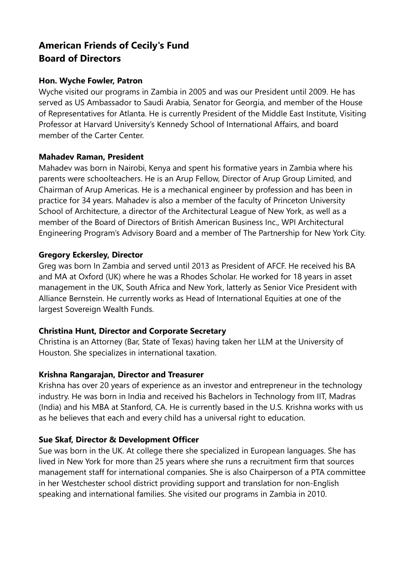# **American Friends of Cecily's Fund Board of Directors**

### **Hon. Wyche Fowler, Patron**

Wyche visited our programs in Zambia in 2005 and was our President until 2009. He has served as US Ambassador to Saudi Arabia, Senator for Georgia, and member of the House of Representatives for Atlanta. He is currently President of the Middle East Institute, Visiting Professor at Harvard University's Kennedy School of International Affairs, and board member of the Carter Center.

### **Mahadev Raman, President**

Mahadev was born in Nairobi, Kenya and spent his formative years in Zambia where his parents were schoolteachers. He is an Arup Fellow, Director of Arup Group Limited, and Chairman of Arup Americas. He is a mechanical engineer by profession and has been in practice for 34 years. Mahadev is also a member of the faculty of Princeton University School of Architecture, a director of the Architectural League of New York, as well as a member of the Board of Directors of British American Business Inc., WPI Architectural Engineering Program's Advisory Board and a member of The Partnership for New York City.

## **Gregory Eckersley, Director**

Greg was born In Zambia and served until 2013 as President of AFCF. He received his BA and MA at Oxford (UK) where he was a Rhodes Scholar. He worked for 18 years in asset management in the UK, South Africa and New York, latterly as Senior Vice President with Alliance Bernstein. He currently works as Head of International Equities at one of the largest Sovereign Wealth Funds.

# **Christina Hunt, Director and Corporate Secretary**

Christina is an Attorney (Bar, State of Texas) having taken her LLM at the University of Houston. She specializes in international taxation.

### **Krishna Rangarajan, Director and Treasurer**

Krishna has over 20 years of experience as an investor and entrepreneur in the technology industry. He was born in India and received his Bachelors in Technology from IIT, Madras (India) and his MBA at Stanford, CA. He is currently based in the U.S. Krishna works with us as he believes that each and every child has a universal right to education.

# **Sue Skaf, Director & Development Officer**

Sue was born in the UK. At college there she specialized in European languages. She has lived in New York for more than 25 years where she runs a recruitment firm that sources management staff for international companies. She is also Chairperson of a PTA committee in her Westchester school district providing support and translation for non-English speaking and international families. She visited our programs in Zambia in 2010.